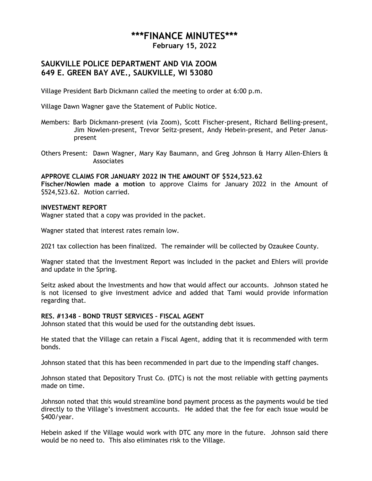# **\*\*\*FINANCE MINUTES\*\*\***

**February 15, 2022**

# **SAUKVILLE POLICE DEPARTMENT AND VIA ZOOM 649 E. GREEN BAY AVE., SAUKVILLE, WI 53080**

Village President Barb Dickmann called the meeting to order at 6:00 p.m.

Village Dawn Wagner gave the Statement of Public Notice.

- Members: Barb Dickmann-present (via Zoom), Scott Fischer-present, Richard Belling-present, Jim Nowlen-present, Trevor Seitz-present, Andy Hebein-present, and Peter Januspresent
- Others Present: Dawn Wagner, Mary Kay Baumann, and Greg Johnson & Harry Allen-Ehlers & Associates

#### **APPROVE CLAIMS FOR JANUARY 2022 IN THE AMOUNT OF \$524,523.62**

**Fischer/Nowlen made a motion** to approve Claims for January 2022 in the Amount of \$524,523.62. Motion carried.

#### **INVESTMENT REPORT**

Wagner stated that a copy was provided in the packet.

Wagner stated that interest rates remain low.

2021 tax collection has been finalized. The remainder will be collected by Ozaukee County.

Wagner stated that the Investment Report was included in the packet and Ehlers will provide and update in the Spring.

Seitz asked about the Investments and how that would affect our accounts. Johnson stated he is not licensed to give investment advice and added that Tami would provide information regarding that.

## **RES. #1348 – BOND TRUST SERVICES – FISCAL AGENT**

Johnson stated that this would be used for the outstanding debt issues.

He stated that the Village can retain a Fiscal Agent, adding that it is recommended with term bonds.

Johnson stated that this has been recommended in part due to the impending staff changes.

Johnson stated that Depository Trust Co. (DTC) is not the most reliable with getting payments made on time.

Johnson noted that this would streamline bond payment process as the payments would be tied directly to the Village's investment accounts. He added that the fee for each issue would be \$400/year.

Hebein asked if the Village would work with DTC any more in the future. Johnson said there would be no need to. This also eliminates risk to the Village.